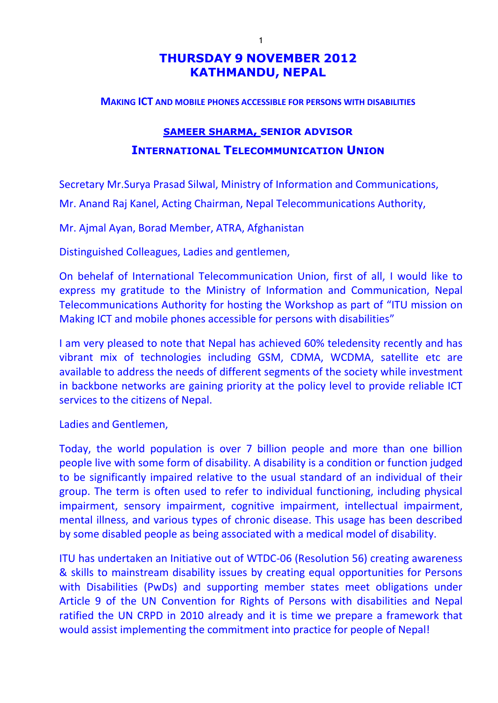## **THURSDAY 9 NOVEMBER 2012 KATHMANDU, NEPAL**

#### **MAKING ICT AND MOBILE PHONES ACCESSIBLE FOR PERSONS WITH DISABILITIES**

# **SAMEER SHARMA, SENIOR ADVISOR INTERNATIONAL TELECOMMUNICATION UNION**

Secretary Mr.Surya Prasad Silwal, Ministry of Information and Communications, Mr. Anand Raj Kanel, Acting Chairman, Nepal Telecommunications Authority,

Mr. Ajmal Ayan, Borad Member, ATRA, Afghanistan

Distinguished Colleagues, Ladies and gentlemen,

On behelaf of International Telecommunication Union, first of all, I would like to express my gratitude to the Ministry of Information and Communication, Nepal Telecommunications Authority for hosting the Workshop as part of "ITU mission on Making ICT and mobile phones accessible for persons with disabilities"

I am very pleased to note that Nepal has achieved 60% teledensity recently and has vibrant mix of technologies including GSM, CDMA, WCDMA, satellite etc are available to address the needs of different segments of the society while investment in backbone networks are gaining priority at the policy level to provide reliable ICT services to the citizens of Nepal.

Ladies and Gentlemen,

Today, the world population is over 7 billion people and more than one billion people live with some form of disability. A disability is a condition or function judged to be significantly impaired relative to the usual standard of an individual of their group. The term is often used to refer to individual functioning, including physical impairment, sensory impairment, cognitive impairment, intellectual impairment, mental illness, and various types of chronic disease. This usage has been described by some disabled people as being associated with a medical model of disability.

ITU has undertaken an Initiative out of WTDC-06 (Resolution 56) creating awareness & skills to mainstream disability issues by creating equal opportunities for Persons with Disabilities (PwDs) and supporting member states meet obligations under Article 9 of the UN Convention for Rights of Persons with disabilities and Nepal ratified the UN CRPD in 2010 already and it is time we prepare a framework that would assist implementing the commitment into practice for people of Nepal!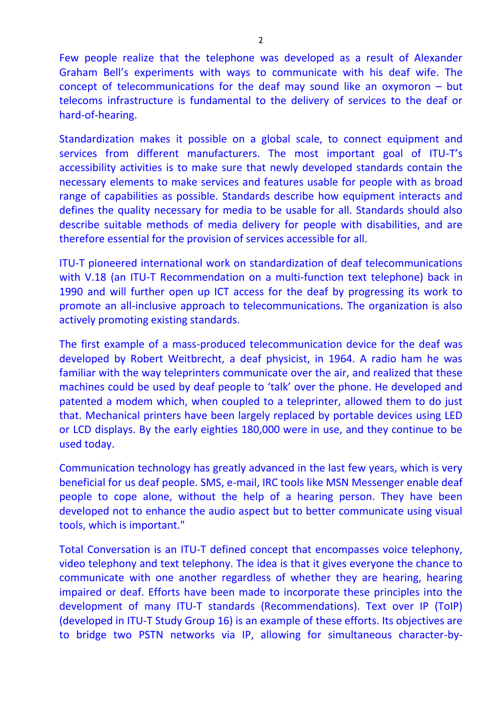Few people realize that the telephone was developed as a result of Alexander Graham Bell's experiments with ways to communicate with his deaf wife. The concept of telecommunications for the deaf may sound like an oxymoron – but telecoms infrastructure is fundamental to the delivery of services to the deaf or hard-of-hearing.

Standardization makes it possible on a global scale, to connect equipment and services from different manufacturers. The most important goal of ITU-T's accessibility activities is to make sure that newly developed standards contain the necessary elements to make services and features usable for people with as broad range of capabilities as possible. Standards describe how equipment interacts and defines the quality necessary for media to be usable for all. Standards should also describe suitable methods of media delivery for people with disabilities, and are therefore essential for the provision of services accessible for all.

ITU-T pioneered international work on standardization of deaf telecommunications with V.18 (an ITU-T Recommendation on a multi-function text telephone) back in 1990 and will further open up ICT access for the deaf by progressing its work to promote an all-inclusive approach to telecommunications. The organization is also actively promoting existing standards.

The first example of a mass-produced telecommunication device for the deaf was developed by Robert Weitbrecht, a deaf physicist, in 1964. A radio ham he was familiar with the way teleprinters communicate over the air, and realized that these machines could be used by deaf people to 'talk' over the phone. He developed and patented a modem which, when coupled to a teleprinter, allowed them to do just that. Mechanical printers have been largely replaced by portable devices using LED or LCD displays. By the early eighties 180,000 were in use, and they continue to be used today.

Communication technology has greatly advanced in the last few years, which is very beneficial for us deaf people. SMS, e-mail, IRC tools like MSN Messenger enable deaf people to cope alone, without the help of a hearing person. They have been developed not to enhance the audio aspect but to better communicate using visual tools, which is important."

Total Conversation is an ITU-T defined concept that encompasses voice telephony, video telephony and text telephony. The idea is that it gives everyone the chance to communicate with one another regardless of whether they are hearing, hearing impaired or deaf. Efforts have been made to incorporate these principles into the development of many ITU-T standards (Recommendations). Text over IP (ToIP) (developed in ITU-T Study Group 16) is an example of these efforts. Its objectives are to bridge two PSTN networks via IP, allowing for simultaneous character-by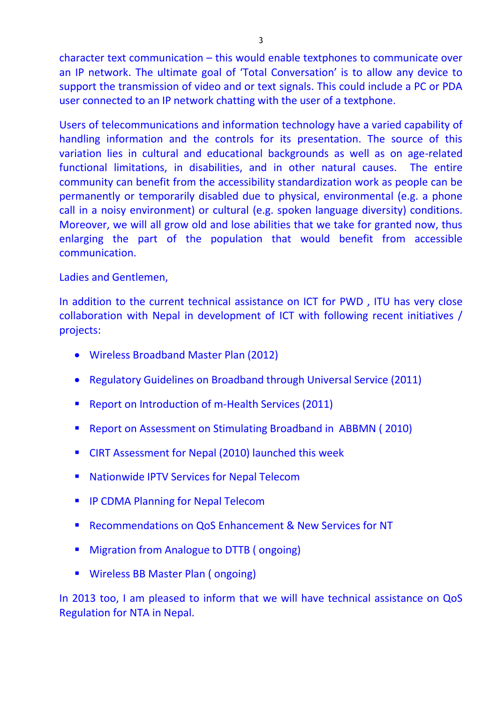character text communication – this would enable textphones to communicate over an IP network. The ultimate goal of 'Total Conversation' is to allow any device to support the transmission of video and or text signals. This could include a PC or PDA user connected to an IP network chatting with the user of a textphone.

Users of telecommunications and information technology have a varied capability of handling information and the controls for its presentation. The source of this variation lies in cultural and educational backgrounds as well as on age-related functional limitations, in disabilities, and in other natural causes. The entire community can benefit from the accessibility standardization work as people can be permanently or temporarily disabled due to physical, environmental (e.g. a phone call in a noisy environment) or cultural (e.g. spoken language diversity) conditions. Moreover, we will all grow old and lose abilities that we take for granted now, thus enlarging the part of the population that would benefit from accessible communication.

### Ladies and Gentlemen,

In addition to the current technical assistance on ICT for PWD , ITU has very close collaboration with Nepal in development of ICT with following recent initiatives / projects:

- Wireless Broadband Master Plan (2012)
- Regulatory Guidelines on Broadband through Universal Service (2011)
- Report on Introduction of m-Health Services (2011)
- **Report on Assessment on Stimulating Broadband in ABBMN (2010)**
- CIRT Assessment for Nepal (2010) launched this week
- **Nationwide IPTV Services for Nepal Telecom**
- **IF COMA Planning for Nepal Telecom**
- Recommendations on QoS Enhancement & New Services for NT
- **Migration from Analogue to DTTB (ongoing)**
- Wireless BB Master Plan (ongoing)

In 2013 too, I am pleased to inform that we will have technical assistance on QoS Regulation for NTA in Nepal.